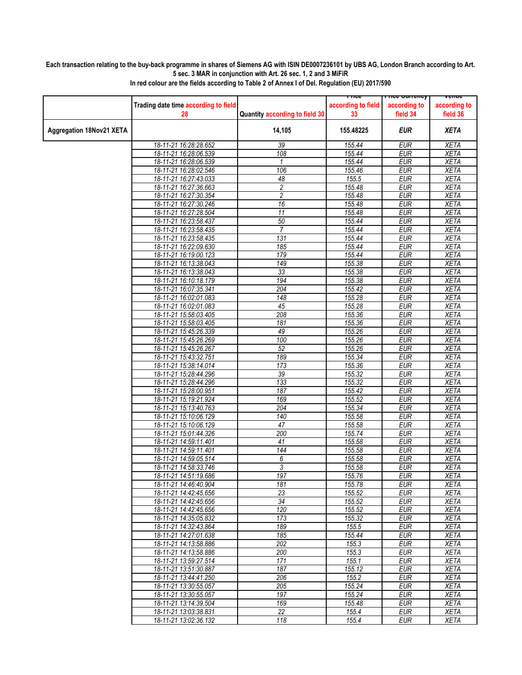## **Each transaction relating to the buy-back programme in shares of Siemens AG with ISIN DE0007236101 by UBS AG, London Branch according to Art. 5 sec. 3 MAR in conjunction with Art. 26 sec. 1, 2 and 3 MiFiR**

|                                 |                                      |                                | LIICG              | rn <del>ce cunency</del> | venue        |
|---------------------------------|--------------------------------------|--------------------------------|--------------------|--------------------------|--------------|
|                                 | Trading date time according to field |                                | according to field | according to             | according to |
|                                 | 28                                   | Quantity according to field 30 | 33                 | field 34                 | field 36     |
|                                 |                                      |                                |                    |                          |              |
| <b>Aggregation 18Nov21 XETA</b> |                                      | 14,105                         | 155.48225          | EUR                      | <b>XETA</b>  |
|                                 |                                      |                                |                    |                          |              |
|                                 | 18-11-21 16:28:28.652                | 39                             | 155.44             | <b>EUR</b>               | <b>XETA</b>  |
|                                 | 18-11-21 16:28:06.539                | 108                            | 155.44             | <b>EUR</b>               | <b>XETA</b>  |
|                                 | 18-11-21 16:28:06.539                | $\mathcal I$                   | 155.44             | <b>EUR</b>               | <b>XETA</b>  |
|                                 | 18-11-21 16:28:02.546                | 106                            | 155.46             | <b>EUR</b>               | <b>XETA</b>  |
|                                 | 18-11-21 16:27:43.033                | 48                             | 155.5              | <b>EUR</b>               | <b>XETA</b>  |
|                                 | 18-11-21 16:27:36.663                | $\overline{c}$                 | 155.48             | <b>EUR</b>               | <b>XETA</b>  |
|                                 | 18-11-21 16:27:30.354                |                                |                    |                          |              |
|                                 |                                      | $\overline{c}$                 | 155.48             | <b>EUR</b>               | <b>XETA</b>  |
|                                 | 18-11-21 16:27:30.246                | 16                             | 155.48             | <b>EUR</b>               | <b>XETA</b>  |
|                                 | 18-11-21 16:27:28.504                | 11                             | 155.48             | <b>EUR</b>               | <b>XETA</b>  |
|                                 | 18-11-21 16:23:58.437                | 50                             | 155.44             | <b>EUR</b>               | <b>XETA</b>  |
|                                 | 18-11-21 16:23:58.435                | $\overline{7}$                 | 155.44             | <b>EUR</b>               | <b>XETA</b>  |
|                                 | 18-11-21 16:23:58.435                | 131                            | 155.44             | <b>EUR</b>               | <b>XETA</b>  |
|                                 | 18-11-21 16:22:09.630                | 185                            | 155.44             | <b>EUR</b>               | <b>XETA</b>  |
|                                 | 18-11-21 16:19:00.123                | 179                            | 155.44             | <b>EUR</b>               | <b>XETA</b>  |
|                                 | 18-11-21 16:13:38.043                | 149                            | 155.38             | <b>EUR</b>               | <b>XETA</b>  |
|                                 | 18-11-21 16:13:38.043                | 33                             | 155.38             | <b>EUR</b>               | <b>XETA</b>  |
|                                 | 18-11-21 16:10:18.179                | 194                            | 155.38             | <b>EUR</b>               | <b>XETA</b>  |
|                                 | 18-11-21 16:07:35.341                | 204                            | 155.42             | <b>EUR</b>               | <b>XETA</b>  |
|                                 | 18-11-21 16:02:01.083                | 148                            | 155.28             | <b>EUR</b>               | <b>XETA</b>  |
|                                 | 18-11-21 16:02:01.083                | 45                             | 155.28             | <b>EUR</b>               | <b>XETA</b>  |
|                                 | 18-11-21 15:58:03.405                | 208                            | 155.36             | <b>EUR</b>               | <b>XETA</b>  |
|                                 | 18-11-21 15:58:03.405                | 181                            | 155.36             | <b>EUR</b>               | <b>XETA</b>  |
|                                 | 18-11-21 15:45:26.339                | 49                             | 155.26             | <b>EUR</b>               | <b>XETA</b>  |
|                                 | 18-11-21 15:45:26.269                | 100                            | 155.26             | <b>EUR</b>               | <b>XETA</b>  |
|                                 | 18-11-21 15:45:26.267                | 52                             | 155.26             | <b>EUR</b>               | <b>XETA</b>  |
|                                 | 18-11-21 15:43:32.751                | 189                            | 155.34             | <b>EUR</b>               | <b>XETA</b>  |
|                                 | 18-11-21 15:38:14.014                |                                |                    |                          |              |
|                                 |                                      | 173                            | 155.36             | <b>EUR</b>               | <b>XETA</b>  |
|                                 | 18-11-21 15:28:44.296                | 39                             | 155.32             | <b>EUR</b>               | <b>XETA</b>  |
|                                 | 18-11-21 15:28:44.296                | 133                            | 155.32             | <b>EUR</b>               | <b>XETA</b>  |
|                                 | 18-11-21 15:28:00.951                | 187                            | 155.42             | <b>EUR</b>               | <b>XETA</b>  |
|                                 | 18-11-21 15:19:21.924                | 169                            | 155.52             | <b>EUR</b>               | <b>XETA</b>  |
|                                 | 18-11-21 15:13:40.763                | 204                            | 155.34             | <b>EUR</b>               | <b>XETA</b>  |
|                                 | 18-11-21 15:10:06.129                | 140                            | 155.58             | <b>EUR</b>               | <b>XETA</b>  |
|                                 | 18-11-21 15:10:06.129                | 47                             | 155.58             | <b>EUR</b>               | <b>XETA</b>  |
|                                 | 18-11-21 15:01:44.326                | 200                            | 155.74             | <b>EUR</b>               | <b>XETA</b>  |
|                                 | 18-11-21 14:59:11.401                | 41                             | 155.58             | <b>EUR</b>               | <b>XETA</b>  |
|                                 | 18-11-21 14:59:11.401                | 144                            | 155.58             | <b>EUR</b>               | <b>XETA</b>  |
|                                 | 18-11-21 14:59:05.514                | 6                              | 155.58             | <b>EUR</b>               | <b>XETA</b>  |
|                                 | 18-11-21 14:58:33.746                | 3                              | 155.58             | <b>EUR</b>               | <b>XETA</b>  |
|                                 | 18-11-21 14:51:19.686                | 197                            | 155.76             | <b>EUR</b>               | <b>XETA</b>  |
|                                 | 18-11-21 14:46:40.904                | 181                            | 155.78             | <b>EUR</b>               | <b>XETA</b>  |
|                                 | 18-11-21 14:42:45.656                | 23                             | 155.52             | <b>EUR</b>               | <b>XETA</b>  |
|                                 | 18-11-21 14:42:45.656                | $\overline{34}$                | 155.52             | <b>EUR</b>               | <b>XETA</b>  |
|                                 | 18-11-21 14:42:45.656                | 120                            | 155.52             | <b>EUR</b>               | <b>XETA</b>  |
|                                 | 18-11-21 14:35:05.832                | 173                            | 155.32             | <b>EUR</b>               | <b>XETA</b>  |
|                                 | 18-11-21 14:32:43.864                | 189                            | 155.5              | <b>EUR</b>               | <b>XETA</b>  |
|                                 | 18-11-21 14:27:01.638                | 185                            | 155.44             | <b>EUR</b>               | <b>XETA</b>  |
|                                 | 18-11-21 14:13:58.886                | 202                            | 155.3              | <b>EUR</b>               | <b>XETA</b>  |
|                                 | 18-11-21 14:13:58.886                | 200                            | 155.3              | <b>EUR</b>               | <b>XETA</b>  |
|                                 | 18-11-21 13:59:27.514                | 171                            | 155.1              | <b>EUR</b>               | <b>XETA</b>  |
|                                 | 18-11-21 13:51:30.887                | 187                            | 155.12             | <b>EUR</b>               | <b>XETA</b>  |
|                                 | 18-11-21 13:44:41.250                |                                |                    |                          |              |
|                                 |                                      | 206                            | 155.2              | <b>EUR</b>               | <b>XETA</b>  |
|                                 | 18-11-21 13:30:55.057                | 205                            | 155.24             | EUR                      | <b>XETA</b>  |
|                                 | 18-11-21 13:30:55.057                | 197                            | 155.24             | <b>EUR</b>               | <b>XETA</b>  |
|                                 | 18-11-21 13:14:39.504                | 169                            | 155.48             | <b>EUR</b>               | <b>XETA</b>  |
|                                 | 18-11-21 13:03:38.831                | $\overline{22}$                | 155.4              | <b>EUR</b>               | XETA         |
|                                 | 18-11-21 13:02:36.132                | 118                            | 155.4              | <b>EUR</b>               | <b>XETA</b>  |

**In red colour are the fields according to Table 2 of Annex I of Del. Regulation (EU) 2017/590**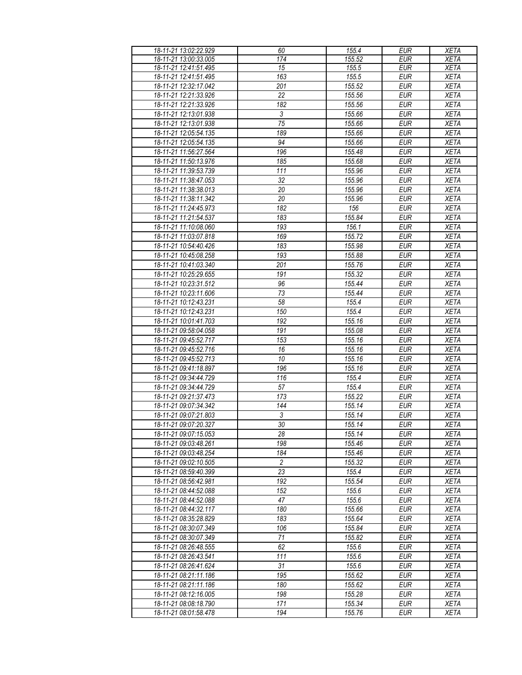| 18-11-21 13:02:22.929 | 60             | 155.4  | <b>EUR</b>       | <b>XETA</b> |
|-----------------------|----------------|--------|------------------|-------------|
| 18-11-21 13:00:33.005 | 174            | 155.52 | <b>EUR</b>       | <b>XETA</b> |
| 18-11-21 12:41:51.495 | 15             | 155.5  | <b>EUR</b>       | <b>XETA</b> |
| 18-11-21 12:41:51.495 | 163            | 155.5  | <b>EUR</b>       | <b>XETA</b> |
| 18-11-21 12:32:17.042 | 201            | 155.52 | <b>EUR</b>       | <b>XETA</b> |
| 18-11-21 12:21:33.926 | 22             | 155.56 | <b>EUR</b>       | <b>XETA</b> |
| 18-11-21 12:21:33.926 | 182            | 155.56 | <b>EUR</b>       | <b>XETA</b> |
| 18-11-21 12:13:01.938 | 3              | 155.66 | <b>EUR</b>       | XETA        |
| 18-11-21 12:13:01.938 | 75             | 155.66 | <b>EUR</b>       | <b>XETA</b> |
| 18-11-21 12:05:54.135 | 189            | 155.66 | <b>EUR</b>       | <b>XETA</b> |
| 18-11-21 12:05:54.135 | 94             | 155.66 | <b>EUR</b>       | <b>XETA</b> |
| 18-11-21 11:56:27.564 | 196            | 155.48 | <b>EUR</b>       | <b>XETA</b> |
| 18-11-21 11:50:13.976 | 185            | 155.68 | <b>EUR</b>       | <b>XETA</b> |
| 18-11-21 11:39:53.739 | 111            | 155.96 | <b>EUR</b>       | <b>XETA</b> |
| 18-11-21 11:38:47.053 | 32             | 155.96 | <b>EUR</b>       | <b>XETA</b> |
| 18-11-21 11:38:38.013 | 20             | 155.96 | <b>EUR</b>       | <b>XETA</b> |
| 18-11-21 11:38:11.342 | 20             | 155.96 | <b>EUR</b>       | <b>XETA</b> |
| 18-11-21 11:24:45.973 | 182            | 156    | <b>EUR</b>       | <b>XETA</b> |
| 18-11-21 11:21:54.537 | 183            | 155.84 | <b>EUR</b>       | <b>XETA</b> |
| 18-11-21 11:10:08.060 | 193            | 156.1  | <b>EUR</b>       | <b>XETA</b> |
| 18-11-21 11:03:07.818 | 169            | 155.72 | <b>EUR</b>       | <b>XETA</b> |
| 18-11-21 10:54:40.426 | 183            | 155.98 | <b>EUR</b>       | <b>XETA</b> |
| 18-11-21 10:45:08.258 | 193            | 155.88 | <b>EUR</b>       | <b>XETA</b> |
| 18-11-21 10:41:03.340 | 201            | 155.76 | <b>EUR</b>       | <b>XETA</b> |
| 18-11-21 10:25:29.655 | 191            | 155.32 | <b>EUR</b>       | <b>XETA</b> |
| 18-11-21 10:23:31.512 | 96             | 155.44 | <b>EUR</b>       | <b>XETA</b> |
| 18-11-21 10:23:11.606 | 73             | 155.44 | <b>EUR</b>       | <b>XETA</b> |
| 18-11-21 10:12:43.231 | 58             | 155.4  | <b>EUR</b>       | <b>XETA</b> |
| 18-11-21 10:12:43.231 | 150            | 155.4  | <b>EUR</b>       | <b>XETA</b> |
| 18-11-21 10:01:41.703 | 192            | 155.16 | <b>EUR</b>       | <b>XETA</b> |
| 18-11-21 09:58:04.058 | 191            | 155.08 | <b>EUR</b>       | <b>XETA</b> |
| 18-11-21 09:45:52.717 | 153            | 155.16 | <b>EUR</b>       | <b>XETA</b> |
| 18-11-21 09:45:52.716 | 16             | 155.16 | <b>EUR</b>       | XETA        |
| 18-11-21 09:45:52.713 | 10             | 155.16 | <b>EUR</b>       | <b>XETA</b> |
| 18-11-21 09:41:18.897 | 196            | 155.16 | <b>EUR</b>       | <b>XETA</b> |
| 18-11-21 09:34:44.729 | 116            | 155.4  | <b>EUR</b>       | <b>XETA</b> |
| 18-11-21 09:34:44.729 | 57             | 155.4  | <b>EUR</b>       | <b>XETA</b> |
| 18-11-21 09:21:37.473 | 173            | 155.22 | <b>EUR</b>       | <b>XETA</b> |
| 18-11-21 09:07:34.342 | 144            | 155.14 | <b>EUR</b>       | <b>XETA</b> |
| 18-11-21 09:07:21.803 | 3              | 155.14 | <b>EUR</b>       | <b>XETA</b> |
| 18-11-21 09:07:20.327 | 30             | 155.14 | EUR              | <b>XETA</b> |
| 18-11-21 09:07:15.053 | 28             | 155.14 | <b>EUR</b>       | <b>XETA</b> |
| 18-11-21 09:03:48.261 | 198            | 155.46 | <b>EUR</b>       | XETA        |
| 18-11-21 09:03:48.254 | 184            | 155.46 | $E\overline{UR}$ | <b>XETA</b> |
| 18-11-21 09:02:10.505 | $\overline{c}$ | 155.32 | <b>EUR</b>       | <b>XETA</b> |
| 18-11-21 08:59:40.399 | 23             | 155.4  | <b>EUR</b>       | <b>XETA</b> |
| 18-11-21 08:56:42.981 | 192            | 155.54 | <b>EUR</b>       | <b>XETA</b> |
| 18-11-21 08:44:52.088 | 152            | 155.6  | <b>EUR</b>       | XETA        |
| 18-11-21 08:44:52.088 | 47             | 155.6  | <b>EUR</b>       | <b>XETA</b> |
| 18-11-21 08:44:32.117 | 180            | 155.66 | <b>EUR</b>       | <b>XETA</b> |
| 18-11-21 08:35:28.829 | 183            | 155.64 | <b>EUR</b>       | <b>XETA</b> |
| 18-11-21 08:30:07.349 | 106            | 155.84 | <b>EUR</b>       | <b>XETA</b> |
| 18-11-21 08:30:07.349 | 71             | 155.82 | EUR              | XETA        |
| 18-11-21 08:26:48.555 | 62             | 155.6  | <b>EUR</b>       | <b>XETA</b> |
| 18-11-21 08:26:43.541 | 111            | 155.6  | <b>EUR</b>       | <b>XETA</b> |
| 18-11-21 08:26:41.624 | 31             | 155.6  | <b>EUR</b>       | <b>XETA</b> |
| 18-11-21 08:21:11.186 | 195            | 155.62 | <b>EUR</b>       | <b>XETA</b> |
| 18-11-21 08:21:11.186 | 180            | 155.62 | <b>EUR</b>       | <b>XETA</b> |
| 18-11-21 08:12:16.005 | 198            | 155.28 | <b>EUR</b>       | <b>XETA</b> |
| 18-11-21 08:08:18.790 | 171            | 155.34 | <b>EUR</b>       | XETA        |
| 18-11-21 08:01:58.478 | 194            | 155.76 | <b>EUR</b>       | XETA        |
|                       |                |        |                  |             |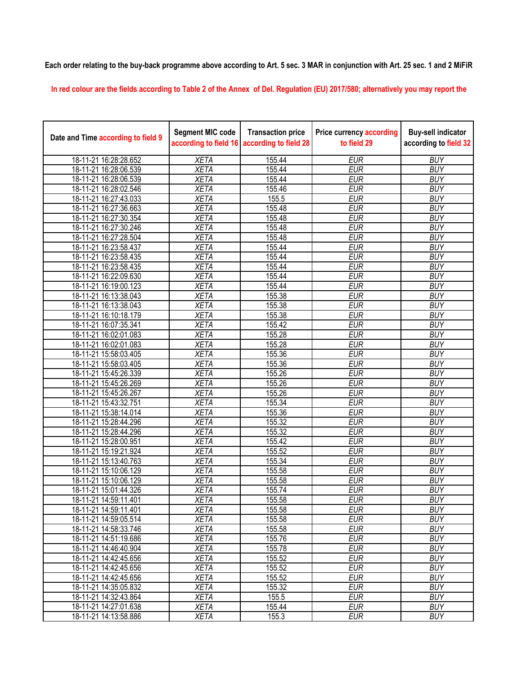**Each order relating to the buy-back programme above according to Art. 5 sec. 3 MAR in conjunction with Art. 25 sec. 1 and 2 MiFiR** 

**In red colour are the fields according to Table 2 of the Annex of Del. Regulation (EU) 2017/580; alternatively you may report the** 

| Date and Time according to field 9 | <b>Segment MIC code</b><br>according to field 16 | <b>Transaction price</b><br>according to field 28 | <b>Price currency according</b><br>to field 29 | <b>Buy-sell indicator</b><br>according to field 32 |
|------------------------------------|--------------------------------------------------|---------------------------------------------------|------------------------------------------------|----------------------------------------------------|
| 18-11-21 16:28:28.652              | <b>XETA</b>                                      | 155.44                                            | <b>EUR</b>                                     | <b>BUY</b>                                         |
| 18-11-21 16:28:06.539              | <b>XETA</b>                                      | 155.44                                            | <b>EUR</b>                                     | <b>BUY</b>                                         |
| 18-11-21 16:28:06.539              | <b>XETA</b>                                      | 155.44                                            | <b>EUR</b>                                     | <b>BUY</b>                                         |
| 18-11-21 16:28:02.546              | <b>XETA</b>                                      | 155.46                                            | <b>EUR</b>                                     | <b>BUY</b>                                         |
| 18-11-21 16:27:43.033              | <b>XETA</b>                                      | 155.5                                             | <b>EUR</b>                                     | <b>BUY</b>                                         |
| 18-11-21 16:27:36.663              | <b>XETA</b>                                      | 155.48                                            | <b>EUR</b>                                     | <b>BUY</b>                                         |
| 18-11-21 16:27:30.354              | <b>XETA</b>                                      | 155.48                                            | <b>EUR</b>                                     | <b>BUY</b>                                         |
| 18-11-21 16:27:30.246              | <b>XETA</b>                                      | 155.48                                            | <b>EUR</b>                                     | <b>BUY</b>                                         |
| 18-11-21 16:27:28.504              | <b>XETA</b>                                      | 155.48                                            | <b>EUR</b>                                     | <b>BUY</b>                                         |
| 18-11-21 16:23:58.437              | <b>XETA</b>                                      | 155.44                                            | <b>EUR</b>                                     | <b>BUY</b>                                         |
| 18-11-21 16:23:58.435              | <b>XETA</b>                                      | 155.44                                            | <b>EUR</b>                                     | <b>BUY</b>                                         |
| 18-11-21 16:23:58.435              | <b>XETA</b>                                      | 155.44                                            | <b>EUR</b>                                     | <b>BUY</b>                                         |
| 18-11-21 16:22:09.630              | <b>XETA</b>                                      | 155.44                                            | <b>EUR</b>                                     | <b>BUY</b>                                         |
| 18-11-21 16:19:00.123              | <b>XETA</b>                                      | 155.44                                            | <b>EUR</b>                                     | <b>BUY</b>                                         |
| 18-11-21 16:13:38.043              | <b>XETA</b>                                      | 155.38                                            | <b>EUR</b>                                     | <b>BUY</b>                                         |
| 18-11-21 16:13:38.043              | <b>XETA</b>                                      | 155.38                                            | <b>EUR</b>                                     | <b>BUY</b>                                         |
| 18-11-21 16:10:18.179              | <b>XETA</b>                                      | 155.38                                            | <b>EUR</b>                                     | <b>BUY</b>                                         |
| 18-11-21 16:07:35.341              | <b>XETA</b>                                      | 155.42                                            | <b>EUR</b>                                     | <b>BUY</b>                                         |
| 18-11-21 16:02:01.083              | <b>XETA</b>                                      | 155.28                                            | <b>EUR</b>                                     | <b>BUY</b>                                         |
| 18-11-21 16:02:01.083              | <b>XETA</b>                                      | 155.28                                            | <b>EUR</b>                                     | <b>BUY</b>                                         |
| 18-11-21 15:58:03.405              | <b>XETA</b>                                      | 155.36                                            | <b>EUR</b>                                     | <b>BUY</b>                                         |
| 18-11-21 15:58:03.405              | <b>XETA</b>                                      | 155.36                                            | <b>EUR</b>                                     | <b>BUY</b>                                         |
| 18-11-21 15:45:26.339              | <b>XETA</b>                                      | 155.26                                            | <b>EUR</b>                                     | <b>BUY</b>                                         |
| 18-11-21 15:45:26.269              | <b>XETA</b>                                      | 155.26                                            | <b>EUR</b>                                     | <b>BUY</b>                                         |
| 18-11-21 15:45:26.267              | <b>XETA</b>                                      | 155.26                                            | <b>EUR</b>                                     | <b>BUY</b>                                         |
| 18-11-21 15:43:32.751              | <b>XETA</b>                                      | 155.34                                            | <b>EUR</b>                                     | <b>BUY</b>                                         |
| 18-11-21 15:38:14.014              | <b>XETA</b>                                      | 155.36                                            | <b>EUR</b>                                     | <b>BUY</b>                                         |
| 18-11-21 15:28:44.296              | <b>XETA</b>                                      | 155.32                                            | <b>EUR</b>                                     | <b>BUY</b>                                         |
| 18-11-21 15:28:44.296              | <b>XETA</b>                                      | 155.32                                            | <b>EUR</b>                                     | <b>BUY</b>                                         |
| 18-11-21 15:28:00.951              | <b>XETA</b>                                      | 155.42                                            | <b>EUR</b>                                     | <b>BUY</b>                                         |
| 18-11-21 15:19:21.924              | <b>XETA</b>                                      | 155.52                                            | <b>EUR</b>                                     | <b>BUY</b>                                         |
| 18-11-21 15:13:40.763              | <b>XETA</b>                                      | 155.34                                            | <b>EUR</b>                                     | <b>BUY</b>                                         |
| 18-11-21 15:10:06.129              | <b>XETA</b>                                      | 155.58                                            | <b>EUR</b>                                     | <b>BUY</b>                                         |
| 18-11-21 15:10:06.129              | <b>XETA</b>                                      | 155.58                                            | <b>EUR</b>                                     | <b>BUY</b>                                         |
| 18-11-21 15:01:44.326              | <b>XETA</b>                                      | 155.74                                            | <b>EUR</b>                                     | <b>BUY</b>                                         |
| 18-11-21 14:59:11.401              | <b>XETA</b>                                      | 155.58                                            | <b>EUR</b>                                     | <b>BUY</b>                                         |
| 18-11-21 14:59:11.401              | <b>XETA</b>                                      | 155.58                                            | <b>EUR</b>                                     | <b>BUY</b>                                         |
| 18-11-21 14:59:05.514              | <b>XETA</b>                                      | 155.58                                            | <b>EUR</b>                                     | <b>BUY</b>                                         |
| 18-11-21 14:58:33.746              | <b>XETA</b>                                      | 155.58                                            | <b>EUR</b>                                     | <b>BUY</b>                                         |
| 18-11-21 14:51:19.686              | <b>XETA</b>                                      | 155.76                                            | <b>EUR</b>                                     | <b>BUY</b>                                         |
| 18-11-21 14:46:40.904              | <b>XETA</b>                                      | 155.78                                            | <b>EUR</b>                                     | <b>BUY</b>                                         |
| 18-11-21 14:42:45.656              | <b>XETA</b>                                      | 155.52                                            | <b>EUR</b>                                     | <b>BUY</b>                                         |
| 18-11-21 14:42:45.656              | <b>XETA</b>                                      | 155.52                                            | <b>EUR</b>                                     | <b>BUY</b>                                         |
| 18-11-21 14:42:45.656              | <b>XETA</b>                                      | 155.52                                            | <b>EUR</b>                                     | <b>BUY</b>                                         |
| 18-11-21 14:35:05.832              | <b>XETA</b>                                      | 155.32                                            | <b>EUR</b>                                     | <b>BUY</b>                                         |
| 18-11-21 14:32:43.864              | <b>XETA</b>                                      | 155.5                                             | <b>EUR</b>                                     | <b>BUY</b>                                         |
| 18-11-21 14:27:01.638              | <b>XETA</b>                                      | 155.44                                            | <b>EUR</b>                                     | <b>BUY</b>                                         |
| 18-11-21 14:13:58.886              | <b>XETA</b>                                      | 155.3                                             | <b>EUR</b>                                     | <b>BUY</b>                                         |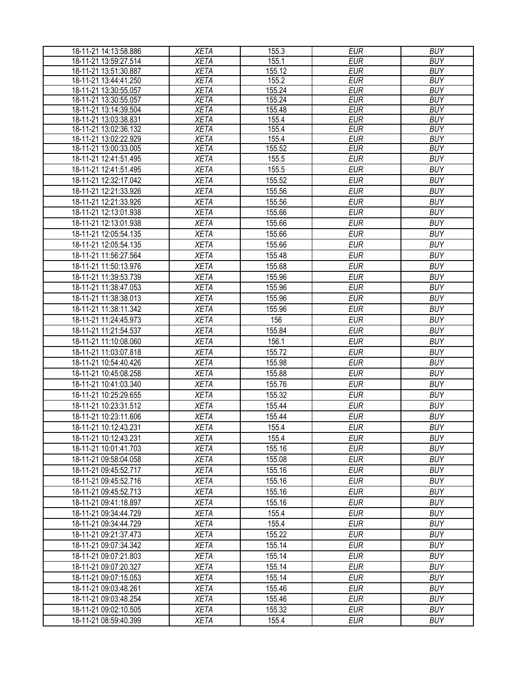| 18-11-21 14:13:58.886 | <b>XETA</b> | 155.3  | <b>EUR</b> | <b>BUY</b> |
|-----------------------|-------------|--------|------------|------------|
| 18-11-21 13:59:27.514 | <b>XETA</b> | 155.1  | <b>EUR</b> | <b>BUY</b> |
| 18-11-21 13:51:30.887 | <b>XETA</b> | 155.12 | <b>EUR</b> | <b>BUY</b> |
| 18-11-21 13:44:41.250 | <b>XETA</b> | 155.2  | <b>EUR</b> | <b>BUY</b> |
| 18-11-21 13:30:55.057 | <b>XETA</b> | 155.24 | <b>EUR</b> | <b>BUY</b> |
| 18-11-21 13:30:55.057 | <b>XETA</b> | 155.24 | <b>EUR</b> | <b>BUY</b> |
| 18-11-21 13:14:39.504 | <b>XETA</b> | 155.48 | <b>EUR</b> | <b>BUY</b> |
| 18-11-21 13:03:38.831 | <b>XETA</b> | 155.4  | <b>EUR</b> | <b>BUY</b> |
| 18-11-21 13:02:36.132 | <b>XETA</b> | 155.4  | <b>EUR</b> | <b>BUY</b> |
| 18-11-21 13:02:22.929 | <b>XETA</b> | 155.4  | <b>EUR</b> | <b>BUY</b> |
| 18-11-21 13:00:33.005 | <b>XETA</b> | 155.52 | <b>EUR</b> | <b>BUY</b> |
| 18-11-21 12:41:51.495 | <b>XETA</b> | 155.5  | <b>EUR</b> | <b>BUY</b> |
| 18-11-21 12:41:51.495 | <b>XETA</b> | 155.5  | <b>EUR</b> | <b>BUY</b> |
| 18-11-21 12:32:17.042 | <b>XETA</b> | 155.52 | <b>EUR</b> | <b>BUY</b> |
| 18-11-21 12:21:33.926 | <b>XETA</b> | 155.56 | <b>EUR</b> | <b>BUY</b> |
| 18-11-21 12:21:33.926 | <b>XETA</b> | 155.56 | <b>EUR</b> | <b>BUY</b> |
| 18-11-21 12:13:01.938 | <b>XETA</b> | 155.66 | <b>EUR</b> | <b>BUY</b> |
| 18-11-21 12:13:01.938 | <b>XETA</b> | 155.66 | <b>EUR</b> | <b>BUY</b> |
| 18-11-21 12:05:54.135 | <b>XETA</b> | 155.66 | <b>EUR</b> | <b>BUY</b> |
| 18-11-21 12:05:54.135 | <b>XETA</b> | 155.66 | <b>EUR</b> | <b>BUY</b> |
| 18-11-21 11:56:27.564 | <b>XETA</b> | 155.48 | <b>EUR</b> | <b>BUY</b> |
| 18-11-21 11:50:13.976 | <b>XETA</b> | 155.68 | <b>EUR</b> | <b>BUY</b> |
| 18-11-21 11:39:53.739 | <b>XETA</b> | 155.96 | <b>EUR</b> | <b>BUY</b> |
| 18-11-21 11:38:47.053 | <b>XETA</b> | 155.96 | <b>EUR</b> | <b>BUY</b> |
| 18-11-21 11:38:38.013 | <b>XETA</b> | 155.96 | <b>EUR</b> | <b>BUY</b> |
| 18-11-21 11:38:11.342 | <b>XETA</b> | 155.96 | <b>EUR</b> | <b>BUY</b> |
| 18-11-21 11:24:45.973 | <b>XETA</b> | 156    | <b>EUR</b> | <b>BUY</b> |
| 18-11-21 11:21:54.537 | <b>XETA</b> | 155.84 | <b>EUR</b> | <b>BUY</b> |
| 18-11-21 11:10:08.060 | <b>XETA</b> | 156.1  | <b>EUR</b> | <b>BUY</b> |
| 18-11-21 11:03:07.818 | <b>XETA</b> | 155.72 | <b>EUR</b> | <b>BUY</b> |
| 18-11-21 10:54:40.426 | <b>XETA</b> | 155.98 | <b>EUR</b> | <b>BUY</b> |
| 18-11-21 10:45:08.258 | <b>XETA</b> | 155.88 | <b>EUR</b> | <b>BUY</b> |
| 18-11-21 10:41:03.340 | <b>XETA</b> | 155.76 | <b>EUR</b> | <b>BUY</b> |
| 18-11-21 10:25:29.655 | <b>XETA</b> | 155.32 | <b>EUR</b> | <b>BUY</b> |
| 18-11-21 10:23:31.512 | <b>XETA</b> | 155.44 | <b>EUR</b> | <b>BUY</b> |
| 18-11-21 10:23:11.606 | <b>XETA</b> | 155.44 | <b>EUR</b> | <b>BUY</b> |
| 18-11-21 10:12:43.231 | <b>XETA</b> | 155.4  | <b>EUR</b> | <b>BUY</b> |
| 18-11-21 10:12:43.231 | <b>XETA</b> | 155.4  | <b>EUR</b> | <b>BUY</b> |
| 18-11-21 10:01:41.703 | <b>XETA</b> | 155.16 | <b>EUR</b> | <b>BUY</b> |
| 18-11-21 09:58:04.058 | <b>XETA</b> | 155.08 | <b>EUR</b> | <b>BUY</b> |
| 18-11-21 09:45:52.717 | <b>XETA</b> | 155.16 | <b>EUR</b> | <b>BUY</b> |
| 18-11-21 09:45:52.716 | <b>XETA</b> | 155.16 | <b>EUR</b> | <b>BUY</b> |
| 18-11-21 09:45:52.713 | <b>XETA</b> | 155.16 | <b>EUR</b> | <b>BUY</b> |
| 18-11-21 09:41:18.897 | <b>XETA</b> | 155.16 | <b>EUR</b> | <b>BUY</b> |
| 18-11-21 09:34:44.729 | <b>XETA</b> | 155.4  | <b>EUR</b> | <b>BUY</b> |
| 18-11-21 09:34:44.729 | <b>XETA</b> | 155.4  | <b>EUR</b> | <b>BUY</b> |
| 18-11-21 09:21:37.473 | <b>XETA</b> | 155.22 | <b>EUR</b> | <b>BUY</b> |
| 18-11-21 09:07:34.342 | <b>XETA</b> | 155.14 | <b>EUR</b> | <b>BUY</b> |
| 18-11-21 09:07:21.803 | <b>XETA</b> | 155.14 | <b>EUR</b> | <b>BUY</b> |
| 18-11-21 09:07:20.327 | <b>XETA</b> | 155.14 | <b>EUR</b> | <b>BUY</b> |
| 18-11-21 09:07:15.053 | <b>XETA</b> | 155.14 | <b>EUR</b> | <b>BUY</b> |
| 18-11-21 09:03:48.261 | <b>XETA</b> | 155.46 | <b>EUR</b> | <b>BUY</b> |
| 18-11-21 09:03:48.254 | <b>XETA</b> | 155.46 | <b>EUR</b> | <b>BUY</b> |
| 18-11-21 09:02:10.505 | <b>XETA</b> | 155.32 | <b>EUR</b> | <b>BUY</b> |
| 18-11-21 08:59:40.399 | <b>XETA</b> | 155.4  | <b>EUR</b> | <b>BUY</b> |
|                       |             |        |            |            |